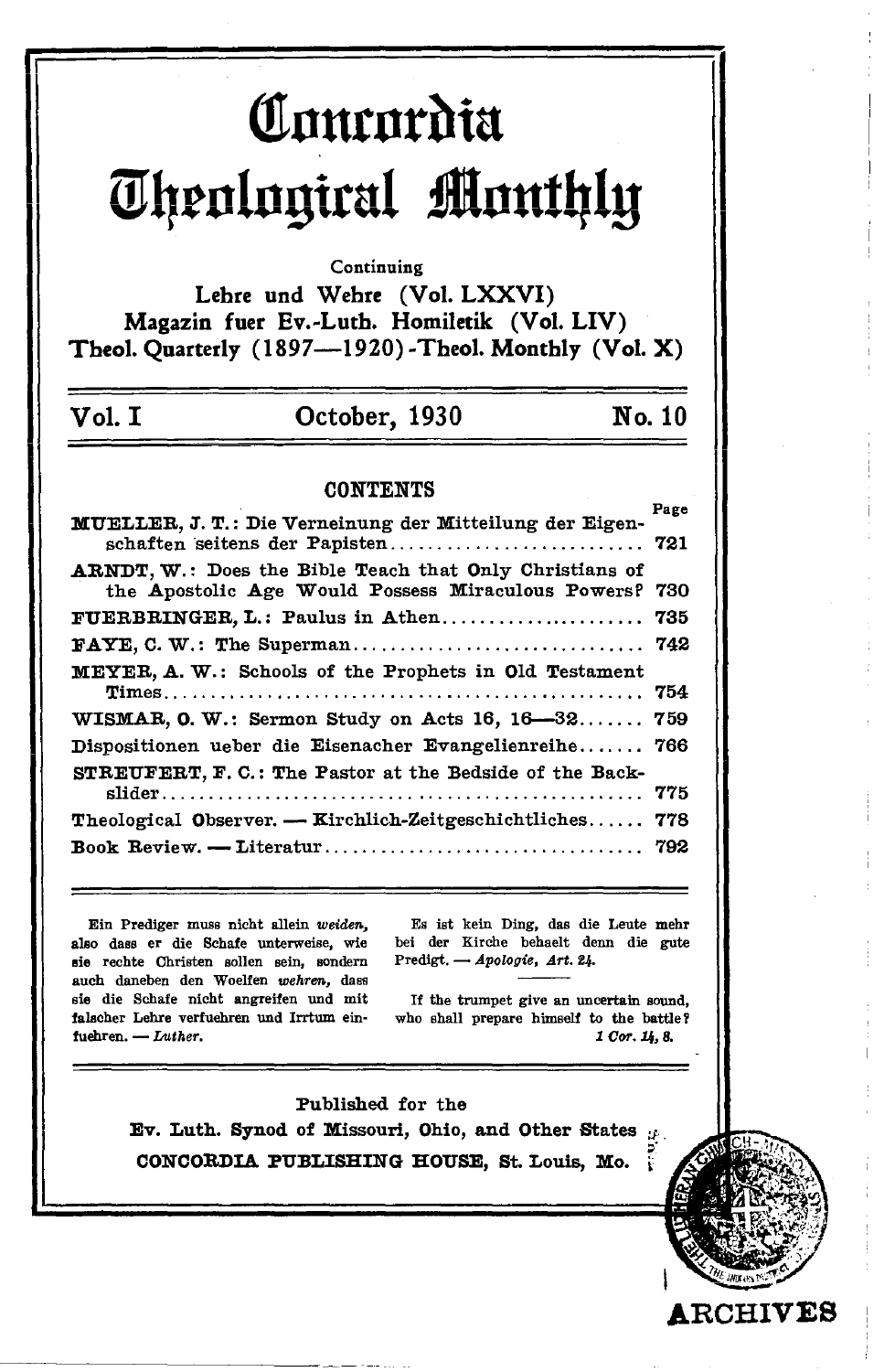# Courordia Theological Monthly

Continuing

Lehre und Wehre (Vol. LXXVI) Magazin fuer Ev.-Luth. Homiletik (Vol. LIV) Theol. Quarterly (1897--1920)-Theol. Monthly (Vol. X)

#### Vol. I October, 1930

No. 10

#### **CONTENTS**

| MUELLER, J. T.: Die Verneinung der Mitteilung der Eigen-<br>schaften seitens der Papisten 721 | 1000 |
|-----------------------------------------------------------------------------------------------|------|
| <b>ARNDT, W.: Does the Bible Teach that Only Christians of</b>                                |      |
| the Apostolic Age Would Possess Miraculous Powers? 730                                        |      |
| FUERBRINGER, L.: Paulus in Athen                                                              | 735  |
|                                                                                               |      |
| MEYER. A. W.: Schools of the Prophets in Old Testament                                        |      |
|                                                                                               | 754  |
| WISMAR, O. W.: Sermon Study on Acts 16, 16–32 759                                             |      |
| Dispositionen ueber die Eisenacher Evangelienreihe 766                                        |      |
| STREUFERT, F. C.: The Pastor at the Bedside of the Back-                                      |      |
|                                                                                               | 775  |
| <b>Theological Observer. -- Kirchlich-Zeitgeschichtliches</b>                                 | 778  |
|                                                                                               |      |

Ein Prediger muss nicht allein weiden, also dass er die Schafe unterweise, wie sie rechte Christen sollen sein, sondern such daneben den Woelfen wehren, dass sie die Schafe nicht angreifen und mit falscher Lehre verfuehren und Irrtum einfuehren. - Luther.

Es ist kein Ding, das die Leute mehr bei der Kirche behaelt denn die gute Predigt. - Apologie, Art. 24.

If the trumpet give an uncertain sound, who shall prepare himself to the battle? 1 Cor. 14, 8.

**ARCHIVES** 

Published for the Ev. Luth. Synod of Missouri, Ohio, and Other States  $\mu$ . CONCORDIA PUBLISHING HOUSE, St. Louis, Mo.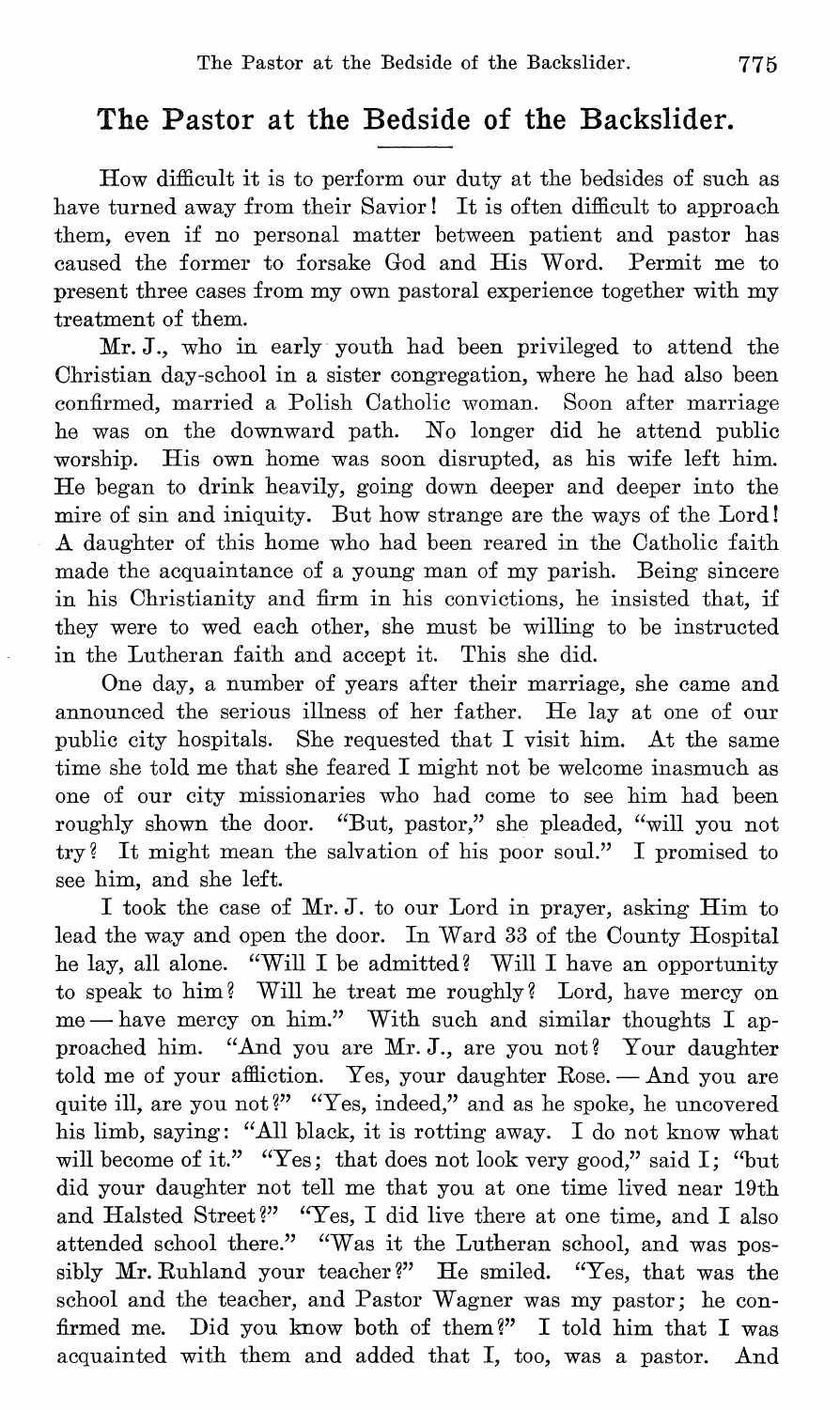## **The Pastor at the Bedside of the Backslider.**

How difficult it is to perform our duty at the bedsides of such as have turned away from their Savior! It is often difficult to approach them, even if no personal matter between patient and pastor has caused the former to forsake God and His Word. Permit me to present three cases from my own pastoral experience together with my treatment of them.

Mr. J., who in early youth had been privileged to attend the Ohristian day-school in a sister congregation, where he had also been confirmed, married a Polish Oatholic woman. Soon after marriage he was on the downward path. No longer did he attend public worship. His own home was soon disrupted, as his wife left him. He began to drink heavily, going down deeper and deeper into the mire of sin and iniquity. But how strange are the ways of the Lord! A daughter of this home who had been reared in the Oatholic faith made the acquaintance of a young man of my parish. Being sincere in his Ohristianity and firm in his convictions, he insisted that, if they were to wed each other, she must be willing to be instructed in the Lutheran faith and accept it. This she did.

One day, a number of years after their marriage, she came and announced the serious illness of her father. He lay at one of our public city hospitals. She requested that I visit him. At the same time she told me that she feared I might not be welcome inasmuch as one of our city missionaries who had come to see him had been roughly shown the door. "But, pastor," she pleaded, "will you not try? It might mean the salvation of his poor soul." I promised to see him, and she left.

I took the case of Mr. J. to our Lord in prayer, asking Him to lead the way and open the door. In Ward 33 of the Oounty Hospital he lay, all alone. "Will I be admitted? Will I have an opportunity to speak to him? Will he treat me roughly? Lord, have mercy on  $me$  - have mercy on him." With such and similar thoughts I approached him. "And you are Mr. J., are you not? Your daughter told me of your affliction. Yes, your daughter Rose.  $-\text{And you are}$ quite ill, are you not?" "Yes, indeed," and as he spoke, he uncovered his limb, saying: "All black, it is rotting away. I do not know what will become of it." "Yes; that does not look very good," said I; "but did your daughter not tell me that you at one time lived near 19th and Halsted Street?" "Yes, I did live there at one time, and I also attended school there." "Was it the Lutheran school, and was possibly Mr. Ruhland your teacher?" He smiled. "Yes, that was the school and the teacher, and Pastor Wagner was my pastor; he confirmed me. Did you know both of them?" I told him that I was acquainted with them and added that I, too, was a pastor. And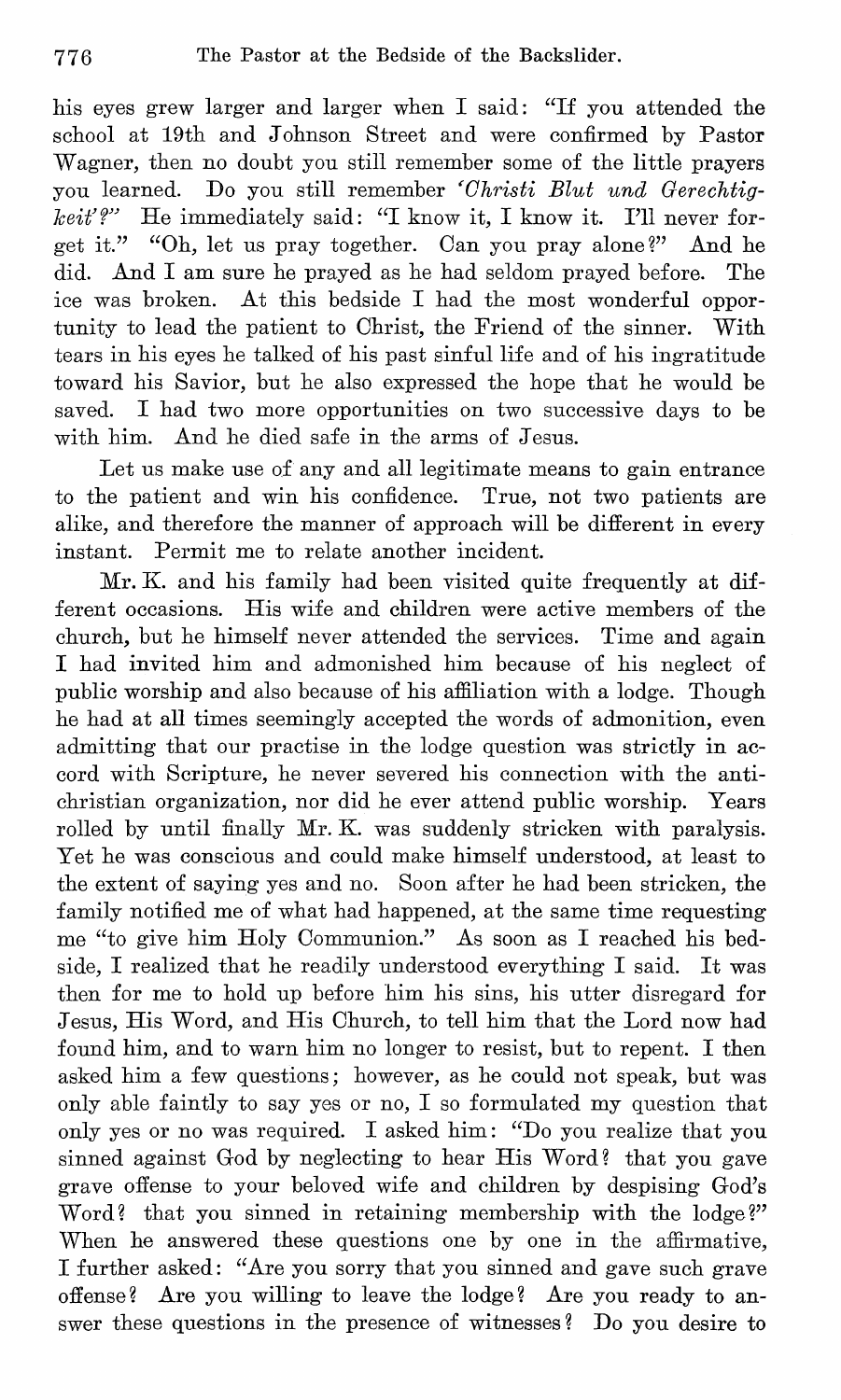his eyes grew larger and larger when I said: "If you attended the school at 19th and Johnson Street and were confirmed by Pastor Wagner, then no doubt you still remember some of the little prayers you learned. Do you still remember *'Christi Blut und Gerechtigkeit'?"* He immediately said: "I know it, I know it. I'll never forget it." "Oh, let us pray together. Oan you pray alone?" And he did. And I am sure he prayed as he had seldom prayed before. The ice was broken. At this bedside I had the most wonderful opportunity to lead the patient to Ohrist, the Friend of the sinner. With tears in his eyes he talked of his past sinful life and of his ingratitude toward his Savior, but he also expressed the hope that he would be saved. I had two more opportunities on two successive days to be with him. And he died safe in the arms of Jesus.

Let us make use of any and all legitimate means to gain entrance to the patient and win his confidence. True, not two patients are alike, and therefore the manner of approach will be different in every instant. Permit me to relate another incident.

Mr. K. and his family had been visited quite frequently at different occasions. His wife and children were active members of the church, but he himself never attended the services. Time and again I had invited him and admonished him because of his neglect of public worship and also because of his affiliation with a lodge. Though he had at all times seemingly accepted the words of admonition, even admitting that our practise in the lodge question was strictly in accord with Scripture, he never severed his connection with the antichristian organization, nor did he ever attend public worship. Years rolled by until finally Mr. K. was suddenly stricken with paralysis. Yet he was conscious and could make himself understood, at least to the extent of saying yes and no. Soon after he had been stricken, the family notified me of what had happened, at the same time requesting me "to give him Holy Oommunion." As soon as I reached his bedside, I realized that he readily understood everything I said. It was then for me to hold up before him his sins, his utter disregard for Jesus, His Word, and His Ohurch, to tell him that the Lord now had found him, and to warn him no longer to resist, but to repent. I then asked him a few questions; however, as he could not speak, but was only able faintly to say yes or no, I so formulated my question that only yes or no was required. I asked him: "Do you realize that you sinned against God by neglecting to hear His Word? that you gave grave offense to your beloved wife and children by despising God's Word? that you sinned in retaining membership with the lodge?" When he answered these questions one by one in the affirmative, I further asked: "Are you sorry that you sinned and gave such grave offense? Are you willing to leave the lodge? Are you ready to answer these questions in the presence of witnesses? Do you desire to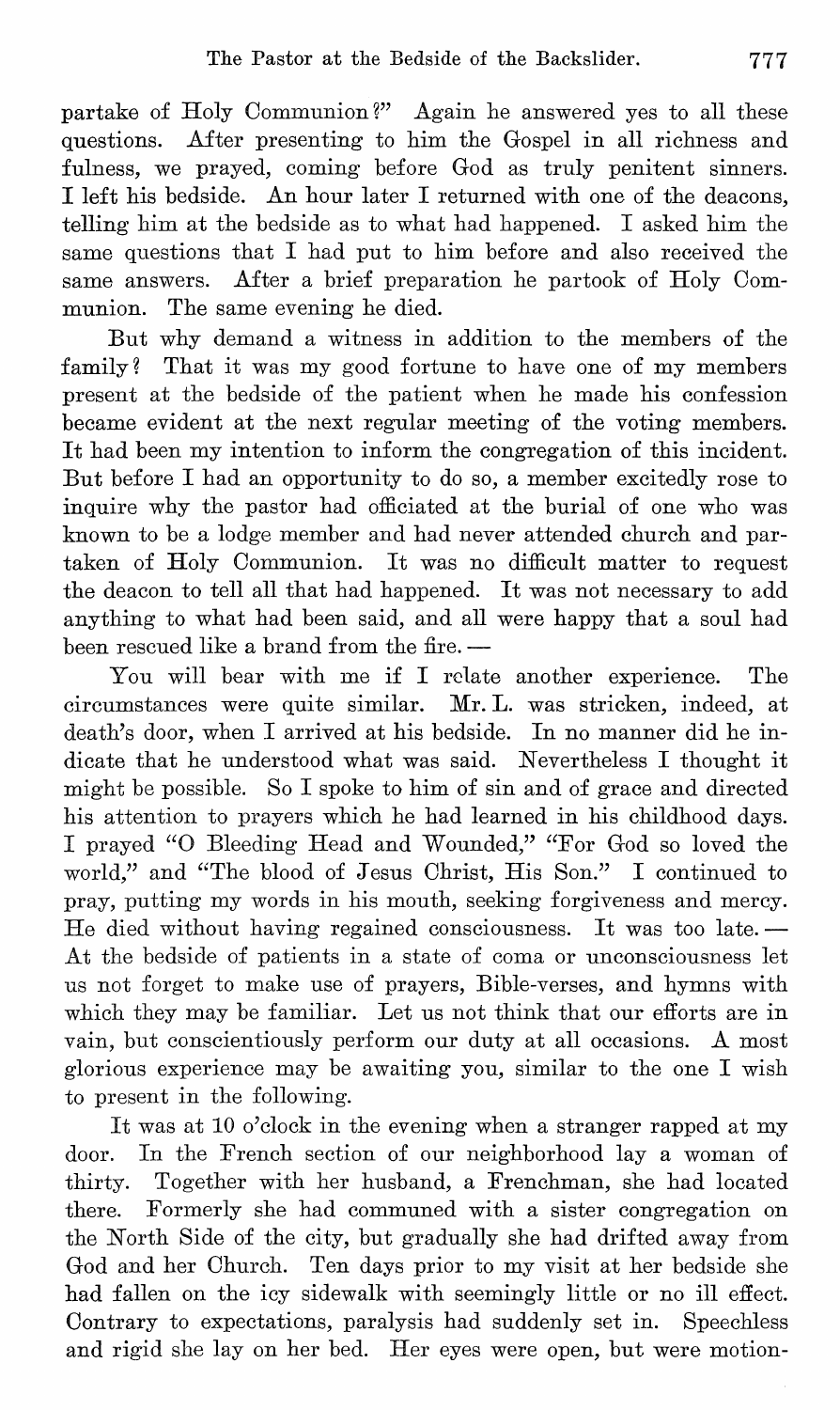partake of Holy Oommunion?" Again he answered yes to all these questions. Mter presenting to him the Gospel in all richness and fulness, we prayed, coming before God as truly penitent sinners. I left his bedside. An hour later I returned with one of the deacons, telling him at the bedside as to what had happened. I asked him the same questions that I had put to him before and also received the same answers. After a brief preparation he partook of Holy Communion. The same evening he died.

But why demand a witness in addition to the members of the family? That it was my good fortune to have one of my members present at the bedside of the patient when he made his confession became evident at the next regular meeting of the voting members. It had been my intention to inform the congregation of this incident. But before I had an opportunity to do so, a member excitedly rose to inquire why the pastor had officiated at the burial of one who was known to be a lodge member and had never attended church and partaken of Holy Oommunion. It was no difficult matter to request the deacon to tell all that had happened. It was not necessary to add anything to what had been said, and all were happy that a soul had been rescued like a brand from the fire. --

You will bear with me if I relate another experience. The circumstances were quite similar. Mr. **L.** was stricken, indeed, at death's door, when I arrived at his bedside. In no manner did he indicate that he understood what was said. Nevertheless I thought it might be possible. So I spoke to him of sin and of grace and directed his attention to prayers which he had learned in his childhood days. I prayed "0 Bleeding Head and Wounded," "For God so loved the world," and "The blood of Jesus Ohrist, His Son." I continued to pray, putting my words in his mouth, seeking forgiveness and mercy. He died without having regained consciousness. It was too late. $-$ At the bedside of patients in a state of coma or unconsciousness let us not forget to make use of prayers, Bible-verses, and hymns with which they may be familiar. Let us not think that our efforts are in vain, but conscientiously perform our duty at all occasions. A most glorious experience may be awaiting you, similar to the one I wish to present in the following.

It was at 10 o'clock in the evening when a stranger rapped at my door. In the French section of our neighborhood lay a woman of thirty. Together with her husband, a Frenchman, she had located there. Formerly she had communed with a sister congregation on the North Side of the city, but gradually she had drifted away from God and her Ohurch. Ten days prior to my visit at her bedside she had fallen on the icy sidewalk with seemingly little or no ill effect. Oontrary to expectations, paralysis had suddenly set in. Speechless and rigid she lay on her bed. Her eyes were open, but were motion